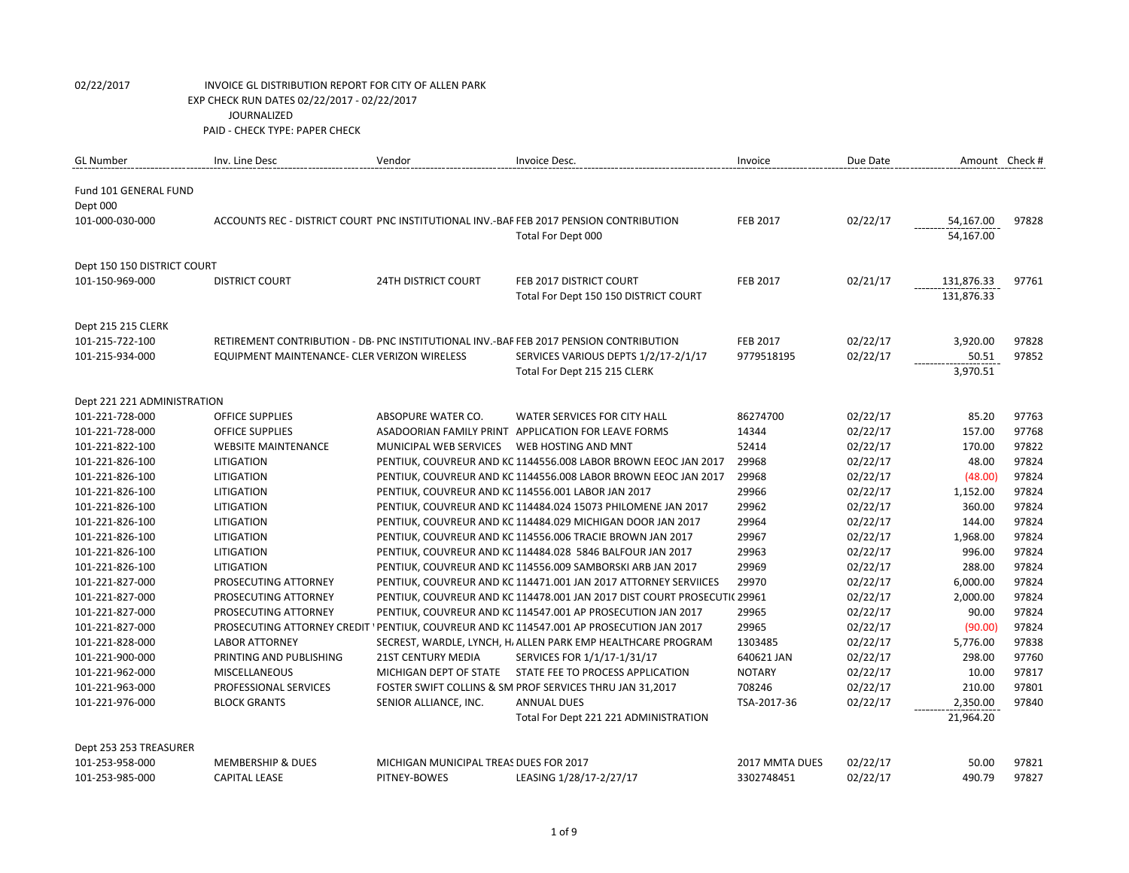| <b>GL Number</b>            | Inv. Line Desc                               | Vendor                                 | Invoice Desc.                                                                             | Invoice         | Due Date | Amount Check # |       |
|-----------------------------|----------------------------------------------|----------------------------------------|-------------------------------------------------------------------------------------------|-----------------|----------|----------------|-------|
| Fund 101 GENERAL FUND       |                                              |                                        |                                                                                           |                 |          |                |       |
| Dept 000                    |                                              |                                        |                                                                                           |                 |          |                |       |
| 101-000-030-000             |                                              |                                        | ACCOUNTS REC - DISTRICT COURT PNC INSTITUTIONAL INV.-BAF FEB 2017 PENSION CONTRIBUTION    | <b>FEB 2017</b> | 02/22/17 | 54,167.00      | 97828 |
|                             |                                              |                                        | Total For Dept 000                                                                        |                 |          | 54,167.00      |       |
|                             |                                              |                                        |                                                                                           |                 |          |                |       |
| Dept 150 150 DISTRICT COURT |                                              |                                        |                                                                                           |                 |          |                |       |
| 101-150-969-000             | <b>DISTRICT COURT</b>                        | <b>24TH DISTRICT COURT</b>             | FEB 2017 DISTRICT COURT                                                                   | <b>FEB 2017</b> | 02/21/17 | 131,876.33     | 97761 |
|                             |                                              |                                        | Total For Dept 150 150 DISTRICT COURT                                                     |                 |          | 131,876.33     |       |
| Dept 215 215 CLERK          |                                              |                                        |                                                                                           |                 |          |                |       |
| 101-215-722-100             |                                              |                                        | RETIREMENT CONTRIBUTION - DB- PNC INSTITUTIONAL INV.-BAF FEB 2017 PENSION CONTRIBUTION    | <b>FEB 2017</b> | 02/22/17 | 3,920.00       | 97828 |
| 101-215-934-000             | EQUIPMENT MAINTENANCE- CLER VERIZON WIRELESS |                                        | SERVICES VARIOUS DEPTS 1/2/17-2/1/17                                                      | 9779518195      | 02/22/17 | 50.51          | 97852 |
|                             |                                              |                                        | Total For Dept 215 215 CLERK                                                              |                 |          | 3,970.51       |       |
|                             |                                              |                                        |                                                                                           |                 |          |                |       |
| Dept 221 221 ADMINISTRATION |                                              |                                        |                                                                                           |                 |          |                |       |
| 101-221-728-000             | <b>OFFICE SUPPLIES</b>                       | ABSOPURE WATER CO.                     | WATER SERVICES FOR CITY HALL                                                              | 86274700        | 02/22/17 | 85.20          | 97763 |
| 101-221-728-000             | <b>OFFICE SUPPLIES</b>                       |                                        | ASADOORIAN FAMILY PRINT APPLICATION FOR LEAVE FORMS                                       | 14344           | 02/22/17 | 157.00         | 97768 |
| 101-221-822-100             | <b>WEBSITE MAINTENANCE</b>                   | MUNICIPAL WEB SERVICES                 | WEB HOSTING AND MNT                                                                       | 52414           | 02/22/17 | 170.00         | 97822 |
| 101-221-826-100             | LITIGATION                                   |                                        | PENTIUK, COUVREUR AND KC 1144556.008 LABOR BROWN EEOC JAN 2017                            | 29968           | 02/22/17 | 48.00          | 97824 |
| 101-221-826-100             | LITIGATION                                   |                                        | PENTIUK, COUVREUR AND KC 1144556.008 LABOR BROWN EEOC JAN 2017                            | 29968           | 02/22/17 | (48.00)        | 97824 |
| 101-221-826-100             | LITIGATION                                   |                                        | PENTIUK, COUVREUR AND KC 114556.001 LABOR JAN 2017                                        | 29966           | 02/22/17 | 1,152.00       | 97824 |
| 101-221-826-100             | LITIGATION                                   |                                        | PENTIUK, COUVREUR AND KC 114484.024 15073 PHILOMENE JAN 2017                              | 29962           | 02/22/17 | 360.00         | 97824 |
| 101-221-826-100             | <b>LITIGATION</b>                            |                                        | PENTIUK, COUVREUR AND KC 114484.029 MICHIGAN DOOR JAN 2017                                | 29964           | 02/22/17 | 144.00         | 97824 |
| 101-221-826-100             | <b>LITIGATION</b>                            |                                        | PENTIUK, COUVREUR AND KC 114556.006 TRACIE BROWN JAN 2017                                 | 29967           | 02/22/17 | 1,968.00       | 97824 |
| 101-221-826-100             | LITIGATION                                   |                                        | PENTIUK, COUVREUR AND KC 114484.028 5846 BALFOUR JAN 2017                                 | 29963           | 02/22/17 | 996.00         | 97824 |
| 101-221-826-100             | LITIGATION                                   |                                        | PENTIUK, COUVREUR AND KC 114556.009 SAMBORSKI ARB JAN 2017                                | 29969           | 02/22/17 | 288.00         | 97824 |
| 101-221-827-000             | PROSECUTING ATTORNEY                         |                                        | PENTIUK, COUVREUR AND KC 114471.001 JAN 2017 ATTORNEY SERVIICES                           | 29970           | 02/22/17 | 6,000.00       | 97824 |
| 101-221-827-000             | PROSECUTING ATTORNEY                         |                                        | PENTIUK, COUVREUR AND KC 114478.001 JAN 2017 DIST COURT PROSECUTIC 29961                  |                 | 02/22/17 | 2,000.00       | 97824 |
| 101-221-827-000             | PROSECUTING ATTORNEY                         |                                        | PENTIUK, COUVREUR AND KC 114547.001 AP PROSECUTION JAN 2017                               | 29965           | 02/22/17 | 90.00          | 97824 |
| 101-221-827-000             |                                              |                                        | PROSECUTING ATTORNEY CREDIT ' PENTIUK, COUVREUR AND KC 114547.001 AP PROSECUTION JAN 2017 | 29965           | 02/22/17 | (90.00)        | 97824 |
| 101-221-828-000             | <b>LABOR ATTORNEY</b>                        |                                        | SECREST, WARDLE, LYNCH, H, ALLEN PARK EMP HEALTHCARE PROGRAM                              | 1303485         | 02/22/17 | 5,776.00       | 97838 |
| 101-221-900-000             | PRINTING AND PUBLISHING                      | <b>21ST CENTURY MEDIA</b>              | SERVICES FOR 1/1/17-1/31/17                                                               | 640621 JAN      | 02/22/17 | 298.00         | 97760 |
| 101-221-962-000             | <b>MISCELLANEOUS</b>                         | MICHIGAN DEPT OF STATE                 | STATE FEE TO PROCESS APPLICATION                                                          | <b>NOTARY</b>   | 02/22/17 | 10.00          | 97817 |
| 101-221-963-000             | PROFESSIONAL SERVICES                        |                                        | FOSTER SWIFT COLLINS & SM PROF SERVICES THRU JAN 31,2017                                  | 708246          | 02/22/17 | 210.00         | 97801 |
| 101-221-976-000             | <b>BLOCK GRANTS</b>                          | SENIOR ALLIANCE, INC.                  | <b>ANNUAL DUES</b>                                                                        | TSA-2017-36     | 02/22/17 | 2,350.00       | 97840 |
|                             |                                              |                                        | Total For Dept 221 221 ADMINISTRATION                                                     |                 |          | 21,964.20      |       |
| Dept 253 253 TREASURER      |                                              |                                        |                                                                                           |                 |          |                |       |
| 101-253-958-000             | <b>MEMBERSHIP &amp; DUES</b>                 | MICHIGAN MUNICIPAL TREAS DUES FOR 2017 |                                                                                           | 2017 MMTA DUES  | 02/22/17 | 50.00          | 97821 |
| 101-253-985-000             | <b>CAPITAL LEASE</b>                         | PITNEY-BOWES                           | LEASING 1/28/17-2/27/17                                                                   | 3302748451      | 02/22/17 | 490.79         | 97827 |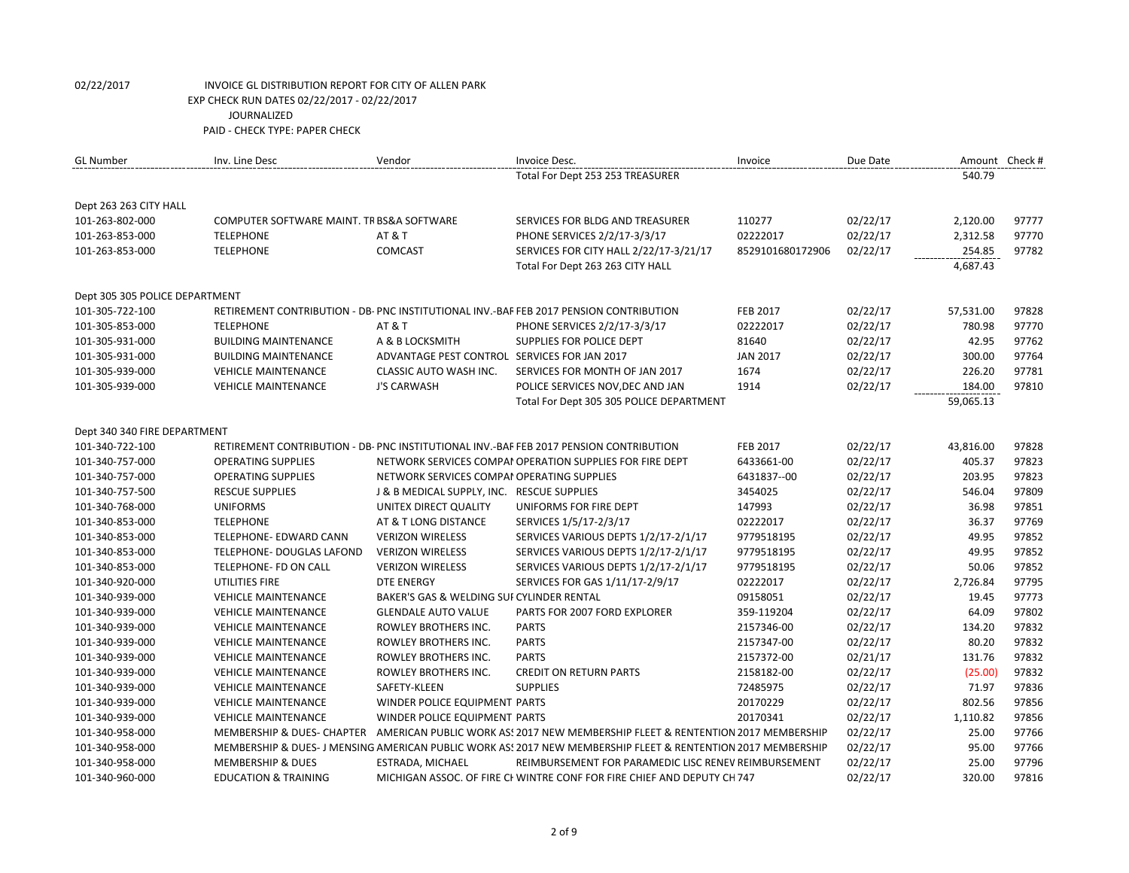| <b>GL Number</b>               | Inv. Line Desc                            | Vendor                                       | Invoice Desc.                                                                                               | Invoice          | Due Date |           | Amount Check # |
|--------------------------------|-------------------------------------------|----------------------------------------------|-------------------------------------------------------------------------------------------------------------|------------------|----------|-----------|----------------|
|                                |                                           |                                              | Total For Dept 253 253 TREASURER                                                                            |                  |          | 540.79    |                |
| Dept 263 263 CITY HALL         |                                           |                                              |                                                                                                             |                  |          |           |                |
| 101-263-802-000                | COMPUTER SOFTWARE MAINT. TR BS&A SOFTWARE |                                              | SERVICES FOR BLDG AND TREASURER                                                                             | 110277           | 02/22/17 | 2,120.00  | 97777          |
| 101-263-853-000                | <b>TELEPHONE</b>                          | AT&T                                         | PHONE SERVICES 2/2/17-3/3/17                                                                                | 02222017         | 02/22/17 | 2,312.58  | 97770          |
| 101-263-853-000                | <b>TELEPHONE</b>                          | COMCAST                                      | SERVICES FOR CITY HALL 2/22/17-3/21/17                                                                      | 8529101680172906 | 02/22/17 | 254.85    | 97782          |
|                                |                                           |                                              | Total For Dept 263 263 CITY HALL                                                                            |                  |          | 4,687.43  |                |
| Dept 305 305 POLICE DEPARTMENT |                                           |                                              |                                                                                                             |                  |          |           |                |
| 101-305-722-100                |                                           |                                              | RETIREMENT CONTRIBUTION - DB- PNC INSTITUTIONAL INV.-BAF FEB 2017 PENSION CONTRIBUTION                      | FEB 2017         | 02/22/17 | 57,531.00 | 97828          |
| 101-305-853-000                | <b>TELEPHONE</b>                          | AT&T                                         | PHONE SERVICES 2/2/17-3/3/17                                                                                | 02222017         | 02/22/17 | 780.98    | 97770          |
| 101-305-931-000                | <b>BUILDING MAINTENANCE</b>               | A & B LOCKSMITH                              | SUPPLIES FOR POLICE DEPT                                                                                    | 81640            | 02/22/17 | 42.95     | 97762          |
| 101-305-931-000                | <b>BUILDING MAINTENANCE</b>               | ADVANTAGE PEST CONTROL SERVICES FOR JAN 2017 |                                                                                                             | <b>JAN 2017</b>  | 02/22/17 | 300.00    | 97764          |
| 101-305-939-000                | <b>VEHICLE MAINTENANCE</b>                | CLASSIC AUTO WASH INC.                       | SERVICES FOR MONTH OF JAN 2017                                                                              | 1674             | 02/22/17 | 226.20    | 97781          |
| 101-305-939-000                | <b>VEHICLE MAINTENANCE</b>                | <b>J'S CARWASH</b>                           | POLICE SERVICES NOV, DEC AND JAN                                                                            | 1914             | 02/22/17 | 184.00    | 97810          |
|                                |                                           |                                              | Total For Dept 305 305 POLICE DEPARTMENT                                                                    |                  |          | 59,065.13 |                |
| Dept 340 340 FIRE DEPARTMENT   |                                           |                                              |                                                                                                             |                  |          |           |                |
| 101-340-722-100                |                                           |                                              | RETIREMENT CONTRIBUTION - DB- PNC INSTITUTIONAL INV.-BAF FEB 2017 PENSION CONTRIBUTION                      | <b>FEB 2017</b>  | 02/22/17 | 43,816.00 | 97828          |
| 101-340-757-000                | <b>OPERATING SUPPLIES</b>                 |                                              | NETWORK SERVICES COMPAI OPERATION SUPPLIES FOR FIRE DEPT                                                    | 6433661-00       | 02/22/17 | 405.37    | 97823          |
| 101-340-757-000                | <b>OPERATING SUPPLIES</b>                 | NETWORK SERVICES COMPAI OPERATING SUPPLIES   |                                                                                                             | 6431837--00      | 02/22/17 | 203.95    | 97823          |
| 101-340-757-500                | <b>RESCUE SUPPLIES</b>                    | J & B MEDICAL SUPPLY, INC. RESCUE SUPPLIES   |                                                                                                             | 3454025          | 02/22/17 | 546.04    | 97809          |
| 101-340-768-000                | <b>UNIFORMS</b>                           | UNITEX DIRECT QUALITY                        | UNIFORMS FOR FIRE DEPT                                                                                      | 147993           | 02/22/17 | 36.98     | 97851          |
| 101-340-853-000                | <b>TELEPHONE</b>                          | AT & T LONG DISTANCE                         | SERVICES 1/5/17-2/3/17                                                                                      | 02222017         | 02/22/17 | 36.37     | 97769          |
| 101-340-853-000                | TELEPHONE- EDWARD CANN                    | <b>VERIZON WIRELESS</b>                      | SERVICES VARIOUS DEPTS 1/2/17-2/1/17                                                                        | 9779518195       | 02/22/17 | 49.95     | 97852          |
| 101-340-853-000                | <b>TELEPHONE- DOUGLAS LAFOND</b>          | <b>VERIZON WIRELESS</b>                      | SERVICES VARIOUS DEPTS 1/2/17-2/1/17                                                                        | 9779518195       | 02/22/17 | 49.95     | 97852          |
| 101-340-853-000                | TELEPHONE- FD ON CALL                     | <b>VERIZON WIRELESS</b>                      | SERVICES VARIOUS DEPTS 1/2/17-2/1/17                                                                        | 9779518195       | 02/22/17 | 50.06     | 97852          |
| 101-340-920-000                | UTILITIES FIRE                            | <b>DTE ENERGY</b>                            | SERVICES FOR GAS 1/11/17-2/9/17                                                                             | 02222017         | 02/22/17 | 2,726.84  | 97795          |
| 101-340-939-000                | <b>VEHICLE MAINTENANCE</b>                | BAKER'S GAS & WELDING SUI CYLINDER RENTAL    |                                                                                                             | 09158051         | 02/22/17 | 19.45     | 97773          |
| 101-340-939-000                | <b>VEHICLE MAINTENANCE</b>                | <b>GLENDALE AUTO VALUE</b>                   | PARTS FOR 2007 FORD EXPLORER                                                                                | 359-119204       | 02/22/17 | 64.09     | 97802          |
| 101-340-939-000                | <b>VEHICLE MAINTENANCE</b>                | ROWLEY BROTHERS INC.                         | <b>PARTS</b>                                                                                                | 2157346-00       | 02/22/17 | 134.20    | 97832          |
| 101-340-939-000                | <b>VEHICLE MAINTENANCE</b>                | ROWLEY BROTHERS INC.                         | <b>PARTS</b>                                                                                                | 2157347-00       | 02/22/17 | 80.20     | 97832          |
| 101-340-939-000                | <b>VEHICLE MAINTENANCE</b>                | ROWLEY BROTHERS INC.                         | <b>PARTS</b>                                                                                                | 2157372-00       | 02/21/17 | 131.76    | 97832          |
| 101-340-939-000                | <b>VEHICLE MAINTENANCE</b>                | ROWLEY BROTHERS INC.                         | <b>CREDIT ON RETURN PARTS</b>                                                                               | 2158182-00       | 02/22/17 | (25.00)   | 97832          |
| 101-340-939-000                | <b>VEHICLE MAINTENANCE</b>                | SAFETY-KLEEN                                 | <b>SUPPLIES</b>                                                                                             | 72485975         | 02/22/17 | 71.97     | 97836          |
| 101-340-939-000                | <b>VEHICLE MAINTENANCE</b>                | WINDER POLICE EQUIPMENT PARTS                |                                                                                                             | 20170229         | 02/22/17 | 802.56    | 97856          |
| 101-340-939-000                | <b>VEHICLE MAINTENANCE</b>                | WINDER POLICE EQUIPMENT PARTS                |                                                                                                             | 20170341         | 02/22/17 | 1,110.82  | 97856          |
| 101-340-958-000                |                                           |                                              | MEMBERSHIP & DUES- CHAPTER AMERICAN PUBLIC WORK AS: 2017 NEW MEMBERSHIP FLEET & RENTENTION 2017 MEMBERSHIP  |                  | 02/22/17 | 25.00     | 97766          |
| 101-340-958-000                |                                           |                                              | MEMBERSHIP & DUES-J MENSING AMERICAN PUBLIC WORK AS: 2017 NEW MEMBERSHIP FLEET & RENTENTION 2017 MEMBERSHIP |                  | 02/22/17 | 95.00     | 97766          |
| 101-340-958-000                | <b>MEMBERSHIP &amp; DUES</b>              | ESTRADA, MICHAEL                             | REIMBURSEMENT FOR PARAMEDIC LISC RENEV REIMBURSEMENT                                                        |                  | 02/22/17 | 25.00     | 97796          |
| 101-340-960-000                | <b>EDUCATION &amp; TRAINING</b>           |                                              | MICHIGAN ASSOC. OF FIRE CI WINTRE CONF FOR FIRE CHIEF AND DEPUTY CH 747                                     |                  | 02/22/17 | 320.00    | 97816          |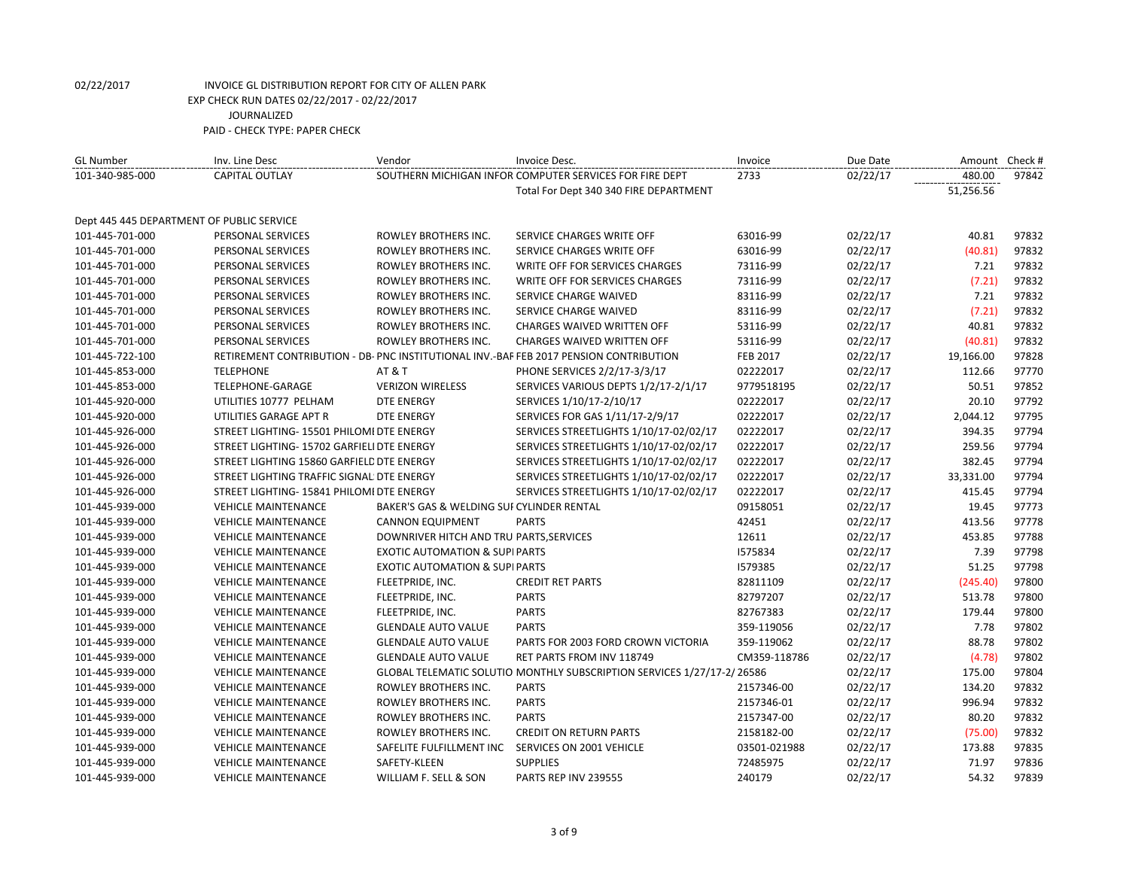| 101-340-985-000<br>SOUTHERN MICHIGAN INFOR COMPUTER SERVICES FOR FIRE DEPT<br>02/22/17<br>480.00<br><b>CAPITAL OUTLAY</b><br>2733<br>51,256.56<br>Total For Dept 340 340 FIRE DEPARTMENT<br>Dept 445 445 DEPARTMENT OF PUBLIC SERVICE<br>63016-99<br>02/22/17<br>40.81<br>101-445-701-000<br>PERSONAL SERVICES<br>ROWLEY BROTHERS INC.<br>SERVICE CHARGES WRITE OFF<br>02/22/17<br>ROWLEY BROTHERS INC.<br>SERVICE CHARGES WRITE OFF<br>63016-99<br>(40.81)<br>101-445-701-000<br>PERSONAL SERVICES<br>101-445-701-000<br>PERSONAL SERVICES<br>ROWLEY BROTHERS INC.<br><b>WRITE OFF FOR SERVICES CHARGES</b><br>73116-99<br>02/22/17<br>7.21<br>(7.21)<br>PERSONAL SERVICES<br>ROWLEY BROTHERS INC.<br><b>WRITE OFF FOR SERVICES CHARGES</b><br>73116-99<br>02/22/17<br>101-445-701-000<br>ROWLEY BROTHERS INC.<br>7.21<br>101-445-701-000<br>PERSONAL SERVICES<br>SERVICE CHARGE WAIVED<br>83116-99 | <b>GL Number</b> | Inv. Line Desc | Vendor | Invoice Desc. | Invoice | Due Date | Amount Check # |       |
|------------------------------------------------------------------------------------------------------------------------------------------------------------------------------------------------------------------------------------------------------------------------------------------------------------------------------------------------------------------------------------------------------------------------------------------------------------------------------------------------------------------------------------------------------------------------------------------------------------------------------------------------------------------------------------------------------------------------------------------------------------------------------------------------------------------------------------------------------------------------------------------------------|------------------|----------------|--------|---------------|---------|----------|----------------|-------|
|                                                                                                                                                                                                                                                                                                                                                                                                                                                                                                                                                                                                                                                                                                                                                                                                                                                                                                      |                  |                |        |               |         |          |                | 97842 |
|                                                                                                                                                                                                                                                                                                                                                                                                                                                                                                                                                                                                                                                                                                                                                                                                                                                                                                      |                  |                |        |               |         |          |                |       |
|                                                                                                                                                                                                                                                                                                                                                                                                                                                                                                                                                                                                                                                                                                                                                                                                                                                                                                      |                  |                |        |               |         |          |                |       |
|                                                                                                                                                                                                                                                                                                                                                                                                                                                                                                                                                                                                                                                                                                                                                                                                                                                                                                      |                  |                |        |               |         |          |                |       |
|                                                                                                                                                                                                                                                                                                                                                                                                                                                                                                                                                                                                                                                                                                                                                                                                                                                                                                      |                  |                |        |               |         |          |                | 97832 |
|                                                                                                                                                                                                                                                                                                                                                                                                                                                                                                                                                                                                                                                                                                                                                                                                                                                                                                      |                  |                |        |               |         |          |                | 97832 |
|                                                                                                                                                                                                                                                                                                                                                                                                                                                                                                                                                                                                                                                                                                                                                                                                                                                                                                      |                  |                |        |               |         |          |                | 97832 |
|                                                                                                                                                                                                                                                                                                                                                                                                                                                                                                                                                                                                                                                                                                                                                                                                                                                                                                      |                  |                |        |               |         |          |                | 97832 |
|                                                                                                                                                                                                                                                                                                                                                                                                                                                                                                                                                                                                                                                                                                                                                                                                                                                                                                      |                  |                |        |               |         | 02/22/17 |                | 97832 |
| 02/22/17<br>(7.21)<br>PERSONAL SERVICES<br>ROWLEY BROTHERS INC.<br>SERVICE CHARGE WAIVED<br>83116-99<br>101-445-701-000                                                                                                                                                                                                                                                                                                                                                                                                                                                                                                                                                                                                                                                                                                                                                                              |                  |                |        |               |         |          |                | 97832 |
| 40.81<br>ROWLEY BROTHERS INC.<br>02/22/17<br>101-445-701-000<br>PERSONAL SERVICES<br><b>CHARGES WAIVED WRITTEN OFF</b><br>53116-99                                                                                                                                                                                                                                                                                                                                                                                                                                                                                                                                                                                                                                                                                                                                                                   |                  |                |        |               |         |          |                | 97832 |
| PERSONAL SERVICES<br>ROWLEY BROTHERS INC.<br><b>CHARGES WAIVED WRITTEN OFF</b><br>02/22/17<br>(40.81)<br>101-445-701-000<br>53116-99                                                                                                                                                                                                                                                                                                                                                                                                                                                                                                                                                                                                                                                                                                                                                                 |                  |                |        |               |         |          |                | 97832 |
| RETIREMENT CONTRIBUTION - DB- PNC INSTITUTIONAL INV.-BAF FEB 2017 PENSION CONTRIBUTION<br>02/22/17<br>19,166.00<br>101-445-722-100<br><b>FEB 2017</b>                                                                                                                                                                                                                                                                                                                                                                                                                                                                                                                                                                                                                                                                                                                                                |                  |                |        |               |         |          |                | 97828 |
| 101-445-853-000<br><b>TELEPHONE</b><br><b>AT &amp; T</b><br>PHONE SERVICES 2/2/17-3/3/17<br>02222017<br>02/22/17<br>112.66                                                                                                                                                                                                                                                                                                                                                                                                                                                                                                                                                                                                                                                                                                                                                                           |                  |                |        |               |         |          |                | 97770 |
| TELEPHONE-GARAGE<br><b>VERIZON WIRELESS</b><br>SERVICES VARIOUS DEPTS 1/2/17-2/1/17<br>9779518195<br>02/22/17<br>50.51<br>101-445-853-000                                                                                                                                                                                                                                                                                                                                                                                                                                                                                                                                                                                                                                                                                                                                                            |                  |                |        |               |         |          |                | 97852 |
| 20.10<br>101-445-920-000<br>UTILITIES 10777 PELHAM<br><b>DTE ENERGY</b><br>SERVICES 1/10/17-2/10/17<br>02222017<br>02/22/17                                                                                                                                                                                                                                                                                                                                                                                                                                                                                                                                                                                                                                                                                                                                                                          |                  |                |        |               |         |          |                | 97792 |
| SERVICES FOR GAS 1/11/17-2/9/17<br>02222017<br>02/22/17<br>2,044.12<br>101-445-920-000<br>UTILITIES GARAGE APT R<br><b>DTE ENERGY</b>                                                                                                                                                                                                                                                                                                                                                                                                                                                                                                                                                                                                                                                                                                                                                                |                  |                |        |               |         |          |                | 97795 |
| 02/22/17<br>394.35<br>101-445-926-000<br>STREET LIGHTING- 15501 PHILOMI DTE ENERGY<br>SERVICES STREETLIGHTS 1/10/17-02/02/17<br>02222017                                                                                                                                                                                                                                                                                                                                                                                                                                                                                                                                                                                                                                                                                                                                                             |                  |                |        |               |         |          |                | 97794 |
| STREET LIGHTING- 15702 GARFIELI DTE ENERGY<br>SERVICES STREETLIGHTS 1/10/17-02/02/17<br>02222017<br>02/22/17<br>259.56<br>101-445-926-000                                                                                                                                                                                                                                                                                                                                                                                                                                                                                                                                                                                                                                                                                                                                                            |                  |                |        |               |         |          |                | 97794 |
| 02/22/17<br>382.45<br>101-445-926-000<br>STREET LIGHTING 15860 GARFIELD DTE ENERGY<br>SERVICES STREETLIGHTS 1/10/17-02/02/17<br>02222017                                                                                                                                                                                                                                                                                                                                                                                                                                                                                                                                                                                                                                                                                                                                                             |                  |                |        |               |         |          |                | 97794 |
| STREET LIGHTING TRAFFIC SIGNAL DTE ENERGY<br>SERVICES STREETLIGHTS 1/10/17-02/02/17<br>02222017<br>02/22/17<br>33,331.00<br>101-445-926-000                                                                                                                                                                                                                                                                                                                                                                                                                                                                                                                                                                                                                                                                                                                                                          |                  |                |        |               |         |          |                | 97794 |
| 02222017<br>101-445-926-000<br>STREET LIGHTING- 15841 PHILOMI DTE ENERGY<br>SERVICES STREETLIGHTS 1/10/17-02/02/17<br>02/22/17<br>415.45                                                                                                                                                                                                                                                                                                                                                                                                                                                                                                                                                                                                                                                                                                                                                             |                  |                |        |               |         |          |                | 97794 |
| <b>VEHICLE MAINTENANCE</b><br>BAKER'S GAS & WELDING SUI CYLINDER RENTAL<br>09158051<br>02/22/17<br>19.45<br>101-445-939-000                                                                                                                                                                                                                                                                                                                                                                                                                                                                                                                                                                                                                                                                                                                                                                          |                  |                |        |               |         |          |                | 97773 |
| <b>PARTS</b><br>42451<br>02/22/17<br>413.56<br>101-445-939-000<br><b>VEHICLE MAINTENANCE</b><br><b>CANNON EQUIPMENT</b>                                                                                                                                                                                                                                                                                                                                                                                                                                                                                                                                                                                                                                                                                                                                                                              |                  |                |        |               |         |          |                | 97778 |
| <b>VEHICLE MAINTENANCE</b><br>DOWNRIVER HITCH AND TRU PARTS, SERVICES<br>12611<br>02/22/17<br>453.85<br>101-445-939-000                                                                                                                                                                                                                                                                                                                                                                                                                                                                                                                                                                                                                                                                                                                                                                              |                  |                |        |               |         |          |                | 97788 |
| 1575834<br>7.39<br>101-445-939-000<br><b>VEHICLE MAINTENANCE</b><br><b>EXOTIC AUTOMATION &amp; SUPI PARTS</b><br>02/22/17                                                                                                                                                                                                                                                                                                                                                                                                                                                                                                                                                                                                                                                                                                                                                                            |                  |                |        |               |         |          |                | 97798 |
| 51.25<br>101-445-939-000<br><b>VEHICLE MAINTENANCE</b><br><b>EXOTIC AUTOMATION &amp; SUPIPARTS</b><br>1579385<br>02/22/17                                                                                                                                                                                                                                                                                                                                                                                                                                                                                                                                                                                                                                                                                                                                                                            |                  |                |        |               |         |          |                | 97798 |
| 02/22/17<br>(245.40)<br>101-445-939-000<br><b>VEHICLE MAINTENANCE</b><br>FLEETPRIDE, INC.<br><b>CREDIT RET PARTS</b><br>82811109                                                                                                                                                                                                                                                                                                                                                                                                                                                                                                                                                                                                                                                                                                                                                                     |                  |                |        |               |         |          |                | 97800 |
| <b>PARTS</b><br>02/22/17<br>513.78<br><b>VEHICLE MAINTENANCE</b><br>FLEETPRIDE, INC.<br>82797207<br>101-445-939-000                                                                                                                                                                                                                                                                                                                                                                                                                                                                                                                                                                                                                                                                                                                                                                                  |                  |                |        |               |         |          |                | 97800 |
| <b>PARTS</b><br>82767383<br>02/22/17<br>179.44<br>101-445-939-000<br><b>VEHICLE MAINTENANCE</b><br>FLEETPRIDE, INC.                                                                                                                                                                                                                                                                                                                                                                                                                                                                                                                                                                                                                                                                                                                                                                                  |                  |                |        |               |         |          |                | 97800 |
| <b>PARTS</b><br>02/22/17<br>7.78<br>101-445-939-000<br><b>VEHICLE MAINTENANCE</b><br><b>GLENDALE AUTO VALUE</b><br>359-119056                                                                                                                                                                                                                                                                                                                                                                                                                                                                                                                                                                                                                                                                                                                                                                        |                  |                |        |               |         |          |                | 97802 |
| 02/22/17<br>88.78<br>101-445-939-000<br><b>VEHICLE MAINTENANCE</b><br><b>GLENDALE AUTO VALUE</b><br>PARTS FOR 2003 FORD CROWN VICTORIA<br>359-119062                                                                                                                                                                                                                                                                                                                                                                                                                                                                                                                                                                                                                                                                                                                                                 |                  |                |        |               |         |          |                | 97802 |
| (4.78)<br>101-445-939-000<br><b>VEHICLE MAINTENANCE</b><br><b>GLENDALE AUTO VALUE</b><br>RET PARTS FROM INV 118749<br>CM359-118786<br>02/22/17                                                                                                                                                                                                                                                                                                                                                                                                                                                                                                                                                                                                                                                                                                                                                       |                  |                |        |               |         |          |                | 97802 |
| 02/22/17<br>175.00<br>101-445-939-000<br><b>VEHICLE MAINTENANCE</b><br>GLOBAL TELEMATIC SOLUTIO MONTHLY SUBSCRIPTION SERVICES 1/27/17-2/ 26586                                                                                                                                                                                                                                                                                                                                                                                                                                                                                                                                                                                                                                                                                                                                                       |                  |                |        |               |         |          |                | 97804 |
| 101-445-939-000<br><b>VEHICLE MAINTENANCE</b><br>ROWLEY BROTHERS INC.<br><b>PARTS</b><br>2157346-00<br>02/22/17<br>134.20                                                                                                                                                                                                                                                                                                                                                                                                                                                                                                                                                                                                                                                                                                                                                                            |                  |                |        |               |         |          |                | 97832 |
| ROWLEY BROTHERS INC.<br><b>PARTS</b><br>996.94<br>101-445-939-000<br><b>VEHICLE MAINTENANCE</b><br>2157346-01<br>02/22/17                                                                                                                                                                                                                                                                                                                                                                                                                                                                                                                                                                                                                                                                                                                                                                            |                  |                |        |               |         |          |                | 97832 |
| 80.20<br>101-445-939-000<br><b>VEHICLE MAINTENANCE</b><br>ROWLEY BROTHERS INC.<br><b>PARTS</b><br>2157347-00<br>02/22/17                                                                                                                                                                                                                                                                                                                                                                                                                                                                                                                                                                                                                                                                                                                                                                             |                  |                |        |               |         |          |                | 97832 |
| <b>CREDIT ON RETURN PARTS</b><br>02/22/17<br>(75.00)<br>101-445-939-000<br><b>VEHICLE MAINTENANCE</b><br>ROWLEY BROTHERS INC.<br>2158182-00                                                                                                                                                                                                                                                                                                                                                                                                                                                                                                                                                                                                                                                                                                                                                          |                  |                |        |               |         |          |                | 97832 |
| 02/22/17<br>173.88<br>101-445-939-000<br><b>VEHICLE MAINTENANCE</b><br>SAFELITE FULFILLMENT INC<br>SERVICES ON 2001 VEHICLE<br>03501-021988                                                                                                                                                                                                                                                                                                                                                                                                                                                                                                                                                                                                                                                                                                                                                          |                  |                |        |               |         |          |                | 97835 |
| <b>SUPPLIES</b><br>72485975<br>02/22/17<br>71.97<br>101-445-939-000<br><b>VEHICLE MAINTENANCE</b><br>SAFETY-KLEEN                                                                                                                                                                                                                                                                                                                                                                                                                                                                                                                                                                                                                                                                                                                                                                                    |                  |                |        |               |         |          |                | 97836 |
| 240179<br>02/22/17<br>54.32<br>101-445-939-000<br><b>VEHICLE MAINTENANCE</b><br>WILLIAM F. SELL & SON<br>PARTS REP INV 239555                                                                                                                                                                                                                                                                                                                                                                                                                                                                                                                                                                                                                                                                                                                                                                        |                  |                |        |               |         |          |                | 97839 |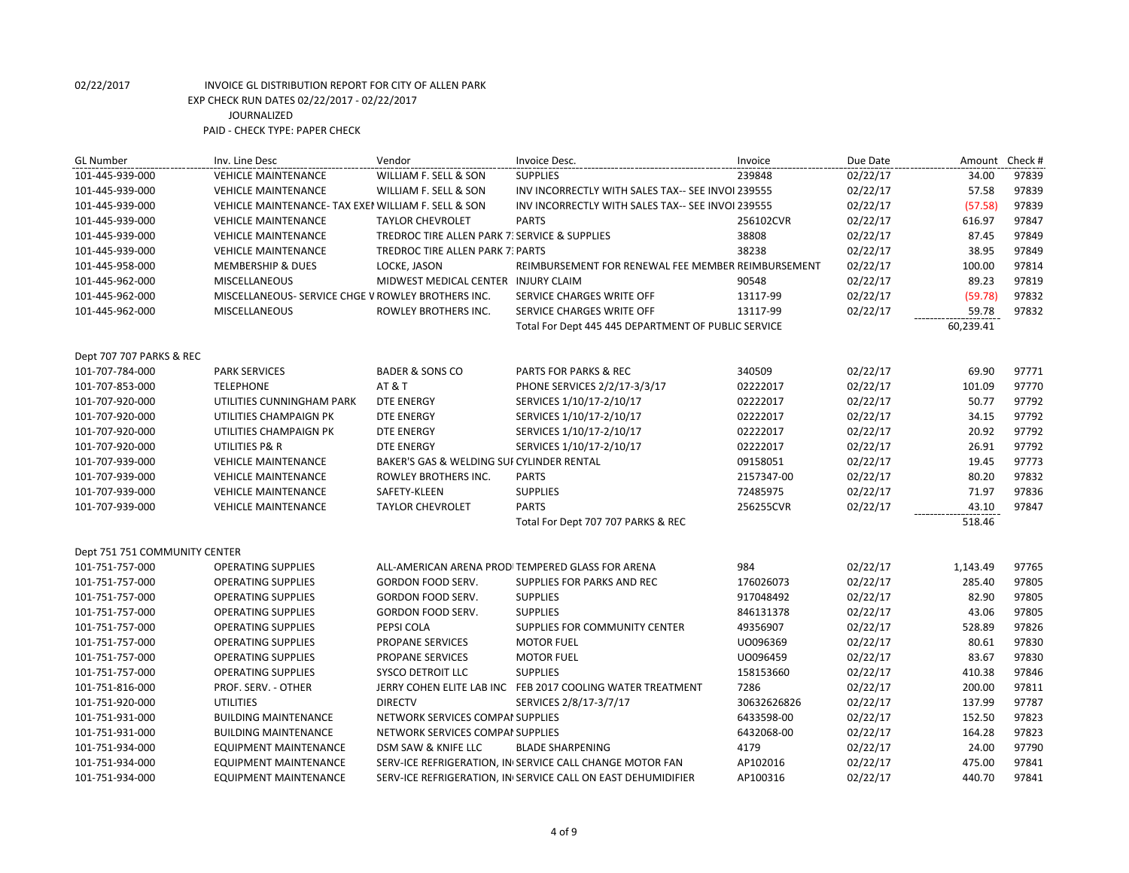| <b>GL Number</b>              | Inv. Line Desc                                     | Vendor                                        | Invoice Desc.                                                | Invoice     | Due Date | Amount    | Check # |
|-------------------------------|----------------------------------------------------|-----------------------------------------------|--------------------------------------------------------------|-------------|----------|-----------|---------|
| 101-445-939-000               | <b>VEHICLE MAINTENANCE</b>                         | WILLIAM F. SELL & SON                         | <b>SUPPLIES</b>                                              | 239848      | 02/22/17 | 34.00     | 97839   |
| 101-445-939-000               | <b>VEHICLE MAINTENANCE</b>                         | WILLIAM F. SELL & SON                         | INV INCORRECTLY WITH SALES TAX-- SEE INVOI 239555            |             | 02/22/17 | 57.58     | 97839   |
| 101-445-939-000               | VEHICLE MAINTENANCE-TAX EXEN WILLIAM F. SELL & SON |                                               | INV INCORRECTLY WITH SALES TAX-- SEE INVOI 239555            |             | 02/22/17 | (57.58)   | 97839   |
| 101-445-939-000               | <b>VEHICLE MAINTENANCE</b>                         | <b>TAYLOR CHEVROLET</b>                       | <b>PARTS</b>                                                 | 256102CVR   | 02/22/17 | 616.97    | 97847   |
| 101-445-939-000               | <b>VEHICLE MAINTENANCE</b>                         | TREDROC TIRE ALLEN PARK 7: SERVICE & SUPPLIES |                                                              | 38808       | 02/22/17 | 87.45     | 97849   |
| 101-445-939-000               | <b>VEHICLE MAINTENANCE</b>                         | TREDROC TIRE ALLEN PARK 7: PARTS              |                                                              | 38238       | 02/22/17 | 38.95     | 97849   |
| 101-445-958-000               | <b>MEMBERSHIP &amp; DUES</b>                       | LOCKE, JASON                                  | REIMBURSEMENT FOR RENEWAL FEE MEMBER REIMBURSEMENT           |             | 02/22/17 | 100.00    | 97814   |
| 101-445-962-000               | <b>MISCELLANEOUS</b>                               | MIDWEST MEDICAL CENTER INJURY CLAIM           |                                                              | 90548       | 02/22/17 | 89.23     | 97819   |
| 101-445-962-000               | MISCELLANEOUS- SERVICE CHGE V ROWLEY BROTHERS INC. |                                               | SERVICE CHARGES WRITE OFF                                    | 13117-99    | 02/22/17 | (59.78)   | 97832   |
| 101-445-962-000               | <b>MISCELLANEOUS</b>                               | ROWLEY BROTHERS INC.                          | SERVICE CHARGES WRITE OFF                                    | 13117-99    | 02/22/17 | 59.78     | 97832   |
|                               |                                                    |                                               | Total For Dept 445 445 DEPARTMENT OF PUBLIC SERVICE          |             |          | 60,239.41 |         |
| Dept 707 707 PARKS & REC      |                                                    |                                               |                                                              |             |          |           |         |
| 101-707-784-000               | <b>PARK SERVICES</b>                               | <b>BADER &amp; SONS CO</b>                    | PARTS FOR PARKS & REC                                        | 340509      | 02/22/17 | 69.90     | 97771   |
| 101-707-853-000               | <b>TELEPHONE</b>                                   | AT&T                                          | PHONE SERVICES 2/2/17-3/3/17                                 | 02222017    | 02/22/17 | 101.09    | 97770   |
| 101-707-920-000               | UTILITIES CUNNINGHAM PARK                          | <b>DTE ENERGY</b>                             | SERVICES 1/10/17-2/10/17                                     | 02222017    | 02/22/17 | 50.77     | 97792   |
| 101-707-920-000               | UTILITIES CHAMPAIGN PK                             | <b>DTE ENERGY</b>                             | SERVICES 1/10/17-2/10/17                                     | 02222017    | 02/22/17 | 34.15     | 97792   |
| 101-707-920-000               | UTILITIES CHAMPAIGN PK                             | <b>DTE ENERGY</b>                             | SERVICES 1/10/17-2/10/17                                     | 02222017    | 02/22/17 | 20.92     | 97792   |
| 101-707-920-000               | UTILITIES P& R                                     | <b>DTE ENERGY</b>                             | SERVICES 1/10/17-2/10/17                                     | 02222017    | 02/22/17 | 26.91     | 97792   |
| 101-707-939-000               | <b>VEHICLE MAINTENANCE</b>                         | BAKER'S GAS & WELDING SUI CYLINDER RENTAL     |                                                              | 09158051    | 02/22/17 | 19.45     | 97773   |
| 101-707-939-000               | <b>VEHICLE MAINTENANCE</b>                         | ROWLEY BROTHERS INC.                          | <b>PARTS</b>                                                 | 2157347-00  | 02/22/17 | 80.20     | 97832   |
| 101-707-939-000               | <b>VEHICLE MAINTENANCE</b>                         | SAFETY-KLEEN                                  | <b>SUPPLIES</b>                                              | 72485975    | 02/22/17 | 71.97     | 97836   |
| 101-707-939-000               | <b>VEHICLE MAINTENANCE</b>                         | <b>TAYLOR CHEVROLET</b>                       | <b>PARTS</b>                                                 | 256255CVR   | 02/22/17 | 43.10     | 97847   |
|                               |                                                    |                                               | Total For Dept 707 707 PARKS & REC                           |             |          | 518.46    |         |
| Dept 751 751 COMMUNITY CENTER |                                                    |                                               |                                                              |             |          |           |         |
| 101-751-757-000               | <b>OPERATING SUPPLIES</b>                          |                                               | ALL-AMERICAN ARENA PRODITEMPERED GLASS FOR ARENA             | 984         | 02/22/17 | 1,143.49  | 97765   |
| 101-751-757-000               | <b>OPERATING SUPPLIES</b>                          | GORDON FOOD SERV.                             | SUPPLIES FOR PARKS AND REC                                   | 176026073   | 02/22/17 | 285.40    | 97805   |
| 101-751-757-000               | <b>OPERATING SUPPLIES</b>                          | GORDON FOOD SERV.                             | <b>SUPPLIES</b>                                              | 917048492   | 02/22/17 | 82.90     | 97805   |
| 101-751-757-000               | <b>OPERATING SUPPLIES</b>                          | <b>GORDON FOOD SERV.</b>                      | <b>SUPPLIES</b>                                              | 846131378   | 02/22/17 | 43.06     | 97805   |
| 101-751-757-000               | <b>OPERATING SUPPLIES</b>                          | PEPSI COLA                                    | SUPPLIES FOR COMMUNITY CENTER                                | 49356907    | 02/22/17 | 528.89    | 97826   |
| 101-751-757-000               | <b>OPERATING SUPPLIES</b>                          | PROPANE SERVICES                              | <b>MOTOR FUEL</b>                                            | U0096369    | 02/22/17 | 80.61     | 97830   |
| 101-751-757-000               | <b>OPERATING SUPPLIES</b>                          | PROPANE SERVICES                              | <b>MOTOR FUEL</b>                                            | UO096459    | 02/22/17 | 83.67     | 97830   |
| 101-751-757-000               | <b>OPERATING SUPPLIES</b>                          | <b>SYSCO DETROIT LLC</b>                      | <b>SUPPLIES</b>                                              | 158153660   | 02/22/17 | 410.38    | 97846   |
| 101-751-816-000               | PROF. SERV. - OTHER                                |                                               | JERRY COHEN ELITE LAB INC FEB 2017 COOLING WATER TREATMENT   | 7286        | 02/22/17 | 200.00    | 97811   |
| 101-751-920-000               | <b>UTILITIES</b>                                   | <b>DIRECTV</b>                                | SERVICES 2/8/17-3/7/17                                       | 30632626826 | 02/22/17 | 137.99    | 97787   |
| 101-751-931-000               | <b>BUILDING MAINTENANCE</b>                        | NETWORK SERVICES COMPAI SUPPLIES              |                                                              | 6433598-00  | 02/22/17 | 152.50    | 97823   |
| 101-751-931-000               | <b>BUILDING MAINTENANCE</b>                        | NETWORK SERVICES COMPAI SUPPLIES              |                                                              | 6432068-00  | 02/22/17 | 164.28    | 97823   |
| 101-751-934-000               | <b>EQUIPMENT MAINTENANCE</b>                       | DSM SAW & KNIFE LLC                           | <b>BLADE SHARPENING</b>                                      | 4179        | 02/22/17 | 24.00     | 97790   |
| 101-751-934-000               | <b>EQUIPMENT MAINTENANCE</b>                       |                                               | SERV-ICE REFRIGERATION, IN SERVICE CALL CHANGE MOTOR FAN     | AP102016    | 02/22/17 | 475.00    | 97841   |
| 101-751-934-000               | <b>EQUIPMENT MAINTENANCE</b>                       |                                               | SERV-ICE REFRIGERATION, IN SERVICE CALL ON EAST DEHUMIDIFIER | AP100316    | 02/22/17 | 440.70    | 97841   |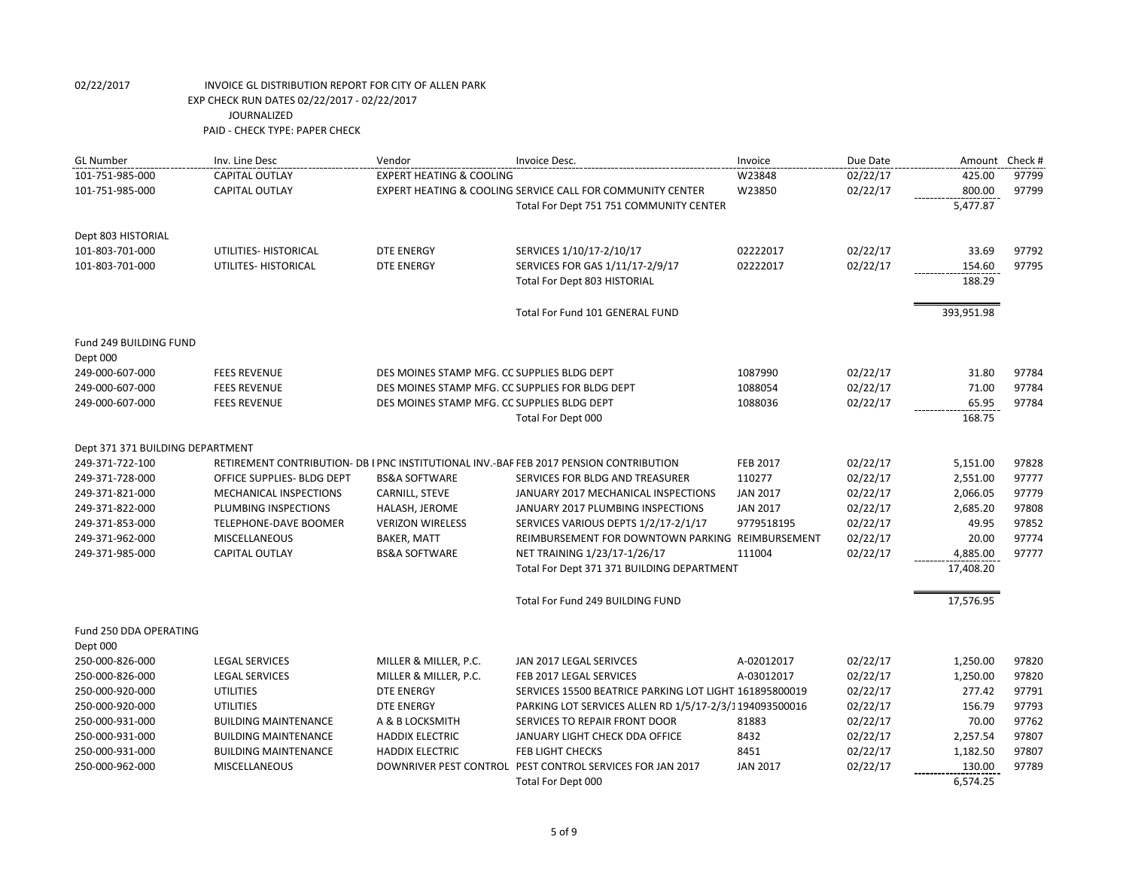| <b>GL Number</b>                 | Inv. Line Desc              | Vendor                                          | Invoice Desc.                                                                          | Invoice         | Due Date | Amount     | Check # |
|----------------------------------|-----------------------------|-------------------------------------------------|----------------------------------------------------------------------------------------|-----------------|----------|------------|---------|
| 101-751-985-000                  | <b>CAPITAL OUTLAY</b>       | <b>EXPERT HEATING &amp; COOLING</b>             |                                                                                        | W23848          | 02/22/17 | 425.00     | 97799   |
| 101-751-985-000                  | <b>CAPITAL OUTLAY</b>       |                                                 | EXPERT HEATING & COOLING SERVICE CALL FOR COMMUNITY CENTER                             | W23850          | 02/22/17 | 800.00     | 97799   |
|                                  |                             |                                                 | Total For Dept 751 751 COMMUNITY CENTER                                                |                 |          | 5,477.87   |         |
| Dept 803 HISTORIAL               |                             |                                                 |                                                                                        |                 |          |            |         |
| 101-803-701-000                  | UTILITIES- HISTORICAL       | <b>DTE ENERGY</b>                               | SERVICES 1/10/17-2/10/17                                                               | 02222017        | 02/22/17 | 33.69      | 97792   |
| 101-803-701-000                  | UTILITES- HISTORICAL        | <b>DTE ENERGY</b>                               | SERVICES FOR GAS 1/11/17-2/9/17                                                        | 02222017        | 02/22/17 | 154.60     | 97795   |
|                                  |                             |                                                 | Total For Dept 803 HISTORIAL                                                           |                 |          | 188.29     |         |
|                                  |                             |                                                 | Total For Fund 101 GENERAL FUND                                                        |                 |          | 393,951.98 |         |
| Fund 249 BUILDING FUND           |                             |                                                 |                                                                                        |                 |          |            |         |
| Dept 000<br>249-000-607-000      | <b>FEES REVENUE</b>         | DES MOINES STAMP MFG. CC SUPPLIES BLDG DEPT     |                                                                                        | 1087990         | 02/22/17 | 31.80      | 97784   |
| 249-000-607-000                  | <b>FEES REVENUE</b>         | DES MOINES STAMP MFG. CC SUPPLIES FOR BLDG DEPT |                                                                                        | 1088054         | 02/22/17 | 71.00      | 97784   |
| 249-000-607-000                  | <b>FEES REVENUE</b>         | DES MOINES STAMP MFG. CC SUPPLIES BLDG DEPT     |                                                                                        | 1088036         | 02/22/17 | 65.95      | 97784   |
|                                  |                             |                                                 | Total For Dept 000                                                                     |                 |          | 168.75     |         |
| Dept 371 371 BUILDING DEPARTMENT |                             |                                                 |                                                                                        |                 |          |            |         |
| 249-371-722-100                  |                             |                                                 | RETIREMENT CONTRIBUTION- DB I PNC INSTITUTIONAL INV.-BAF FEB 2017 PENSION CONTRIBUTION | <b>FEB 2017</b> | 02/22/17 | 5,151.00   | 97828   |
| 249-371-728-000                  | OFFICE SUPPLIES- BLDG DEPT  | <b>BS&amp;A SOFTWARE</b>                        | SERVICES FOR BLDG AND TREASURER                                                        | 110277          | 02/22/17 | 2,551.00   | 97777   |
| 249-371-821-000                  | MECHANICAL INSPECTIONS      | CARNILL, STEVE                                  | JANUARY 2017 MECHANICAL INSPECTIONS                                                    | <b>JAN 2017</b> | 02/22/17 | 2,066.05   | 97779   |
| 249-371-822-000                  | PLUMBING INSPECTIONS        | HALASH, JEROME                                  | JANUARY 2017 PLUMBING INSPECTIONS                                                      | <b>JAN 2017</b> | 02/22/17 | 2,685.20   | 97808   |
| 249-371-853-000                  | TELEPHONE-DAVE BOOMER       | <b>VERIZON WIRELESS</b>                         | SERVICES VARIOUS DEPTS 1/2/17-2/1/17                                                   | 9779518195      | 02/22/17 | 49.95      | 97852   |
| 249-371-962-000                  | <b>MISCELLANEOUS</b>        | <b>BAKER, MATT</b>                              | REIMBURSEMENT FOR DOWNTOWN PARKING REIMBURSEMENT                                       |                 | 02/22/17 | 20.00      | 97774   |
| 249-371-985-000                  | <b>CAPITAL OUTLAY</b>       | <b>BS&amp;A SOFTWARE</b>                        | NET TRAINING 1/23/17-1/26/17                                                           | 111004          | 02/22/17 | 4,885.00   | 97777   |
|                                  |                             |                                                 | Total For Dept 371 371 BUILDING DEPARTMENT                                             |                 |          | 17,408.20  |         |
|                                  |                             |                                                 | Total For Fund 249 BUILDING FUND                                                       |                 |          | 17,576.95  |         |
| Fund 250 DDA OPERATING           |                             |                                                 |                                                                                        |                 |          |            |         |
| Dept 000                         |                             |                                                 |                                                                                        |                 |          |            |         |
| 250-000-826-000                  | <b>LEGAL SERVICES</b>       | MILLER & MILLER, P.C.                           | JAN 2017 LEGAL SERIVCES                                                                | A-02012017      | 02/22/17 | 1,250.00   | 97820   |
| 250-000-826-000                  | <b>LEGAL SERVICES</b>       | MILLER & MILLER, P.C.                           | FEB 2017 LEGAL SERVICES                                                                | A-03012017      | 02/22/17 | 1,250.00   | 97820   |
| 250-000-920-000                  | <b>UTILITIES</b>            | <b>DTE ENERGY</b>                               | SERVICES 15500 BEATRICE PARKING LOT LIGHT 161895800019                                 |                 | 02/22/17 | 277.42     | 97791   |
| 250-000-920-000                  | <b>UTILITIES</b>            | <b>DTE ENERGY</b>                               | PARKING LOT SERVICES ALLEN RD 1/5/17-2/3/1194093500016                                 |                 | 02/22/17 | 156.79     | 97793   |
| 250-000-931-000                  | <b>BUILDING MAINTENANCE</b> | A & B LOCKSMITH                                 | SERVICES TO REPAIR FRONT DOOR                                                          | 81883           | 02/22/17 | 70.00      | 97762   |
| 250-000-931-000                  | <b>BUILDING MAINTENANCE</b> | <b>HADDIX ELECTRIC</b>                          | JANUARY LIGHT CHECK DDA OFFICE                                                         | 8432            | 02/22/17 | 2,257.54   | 97807   |
| 250-000-931-000                  | <b>BUILDING MAINTENANCE</b> | <b>HADDIX ELECTRIC</b>                          | <b>FEB LIGHT CHECKS</b>                                                                | 8451            | 02/22/17 | 1,182.50   | 97807   |
| 250-000-962-000                  | <b>MISCELLANEOUS</b>        |                                                 | DOWNRIVER PEST CONTROL PEST CONTROL SERVICES FOR JAN 2017                              | <b>JAN 2017</b> | 02/22/17 | 130.00     | 97789   |
|                                  |                             |                                                 | Total For Dept 000                                                                     |                 |          | 6,574.25   |         |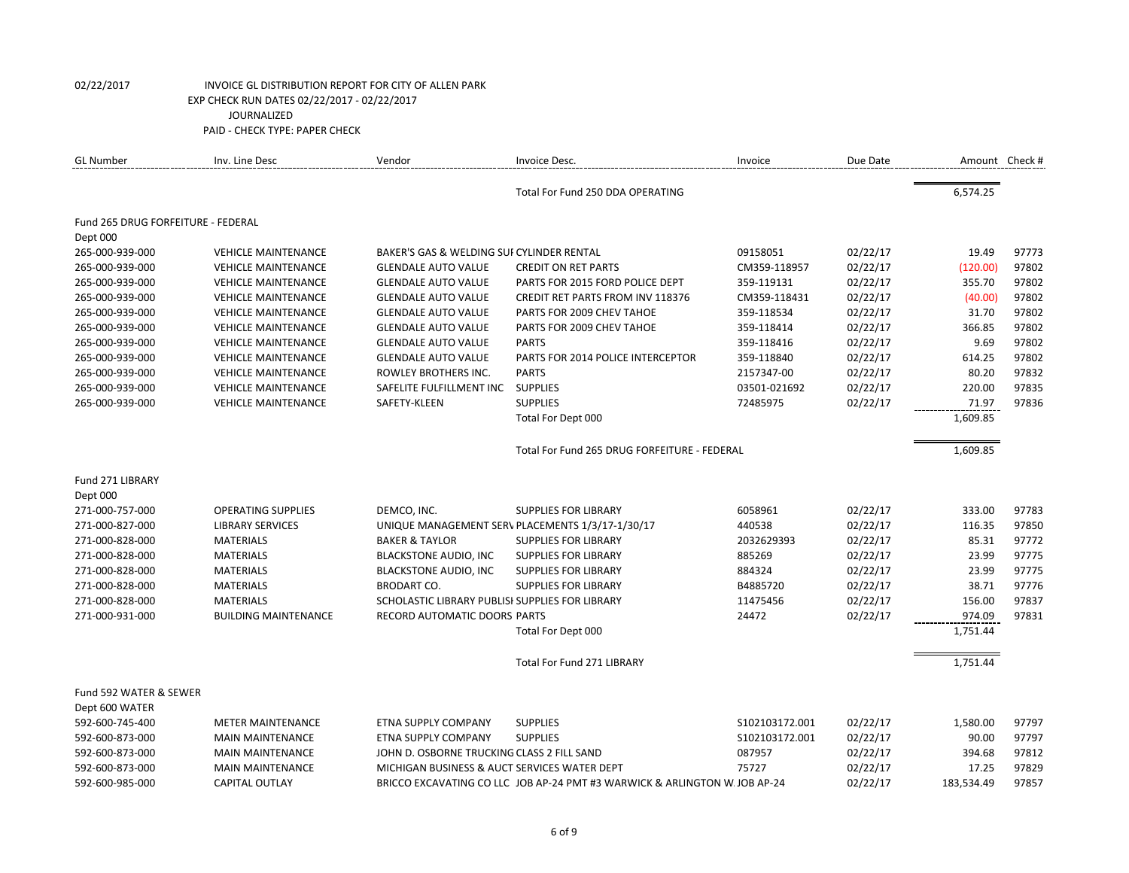| <b>GL Number</b>                   | Inv. Line Desc              | Vendor                                          | Invoice Desc.                                                             | Invoice        | Due Date | Amount Check # |       |
|------------------------------------|-----------------------------|-------------------------------------------------|---------------------------------------------------------------------------|----------------|----------|----------------|-------|
|                                    |                             |                                                 | Total For Fund 250 DDA OPERATING                                          |                |          | 6,574.25       |       |
| Fund 265 DRUG FORFEITURE - FEDERAL |                             |                                                 |                                                                           |                |          |                |       |
| Dept 000                           |                             |                                                 |                                                                           |                |          |                |       |
| 265-000-939-000                    | <b>VEHICLE MAINTENANCE</b>  | BAKER'S GAS & WELDING SUI CYLINDER RENTAL       |                                                                           | 09158051       | 02/22/17 | 19.49          | 97773 |
| 265-000-939-000                    | <b>VEHICLE MAINTENANCE</b>  | <b>GLENDALE AUTO VALUE</b>                      | <b>CREDIT ON RET PARTS</b>                                                | CM359-118957   | 02/22/17 | (120.00)       | 97802 |
| 265-000-939-000                    | <b>VEHICLE MAINTENANCE</b>  | <b>GLENDALE AUTO VALUE</b>                      | PARTS FOR 2015 FORD POLICE DEPT                                           | 359-119131     | 02/22/17 | 355.70         | 97802 |
| 265-000-939-000                    | <b>VEHICLE MAINTENANCE</b>  | <b>GLENDALE AUTO VALUE</b>                      | <b>CREDIT RET PARTS FROM INV 118376</b>                                   | CM359-118431   | 02/22/17 | (40.00)        | 97802 |
| 265-000-939-000                    | <b>VEHICLE MAINTENANCE</b>  | <b>GLENDALE AUTO VALUE</b>                      | PARTS FOR 2009 CHEV TAHOE                                                 | 359-118534     | 02/22/17 | 31.70          | 97802 |
| 265-000-939-000                    | <b>VEHICLE MAINTENANCE</b>  | <b>GLENDALE AUTO VALUE</b>                      | PARTS FOR 2009 CHEV TAHOE                                                 | 359-118414     | 02/22/17 | 366.85         | 97802 |
| 265-000-939-000                    | <b>VEHICLE MAINTENANCE</b>  | <b>GLENDALE AUTO VALUE</b>                      | <b>PARTS</b>                                                              | 359-118416     | 02/22/17 | 9.69           | 97802 |
| 265-000-939-000                    | <b>VEHICLE MAINTENANCE</b>  | <b>GLENDALE AUTO VALUE</b>                      | PARTS FOR 2014 POLICE INTERCEPTOR                                         | 359-118840     | 02/22/17 | 614.25         | 97802 |
| 265-000-939-000                    | <b>VEHICLE MAINTENANCE</b>  | ROWLEY BROTHERS INC.                            | <b>PARTS</b>                                                              | 2157347-00     | 02/22/17 | 80.20          | 97832 |
| 265-000-939-000                    | <b>VEHICLE MAINTENANCE</b>  | SAFELITE FULFILLMENT INC SUPPLIES               |                                                                           | 03501-021692   | 02/22/17 | 220.00         | 97835 |
| 265-000-939-000                    | <b>VEHICLE MAINTENANCE</b>  | SAFETY-KLEEN                                    | <b>SUPPLIES</b>                                                           | 72485975       | 02/22/17 | 71.97          | 97836 |
|                                    |                             |                                                 | Total For Dept 000                                                        |                |          | 1,609.85       |       |
|                                    |                             |                                                 | Total For Fund 265 DRUG FORFEITURE - FEDERAL                              |                |          | 1,609.85       |       |
| Fund 271 LIBRARY                   |                             |                                                 |                                                                           |                |          |                |       |
| Dept 000                           |                             |                                                 |                                                                           |                |          |                |       |
| 271-000-757-000                    | <b>OPERATING SUPPLIES</b>   | DEMCO, INC.                                     | <b>SUPPLIES FOR LIBRARY</b>                                               | 6058961        | 02/22/17 | 333.00         | 97783 |
| 271-000-827-000                    | <b>LIBRARY SERVICES</b>     |                                                 | UNIQUE MANAGEMENT SERV PLACEMENTS 1/3/17-1/30/17                          | 440538         | 02/22/17 | 116.35         | 97850 |
| 271-000-828-000                    | <b>MATERIALS</b>            | <b>BAKER &amp; TAYLOR</b>                       | <b>SUPPLIES FOR LIBRARY</b>                                               | 2032629393     | 02/22/17 | 85.31          | 97772 |
| 271-000-828-000                    | <b>MATERIALS</b>            | <b>BLACKSTONE AUDIO, INC</b>                    | <b>SUPPLIES FOR LIBRARY</b>                                               | 885269         | 02/22/17 | 23.99          | 97775 |
| 271-000-828-000                    | <b>MATERIALS</b>            | <b>BLACKSTONE AUDIO, INC</b>                    | <b>SUPPLIES FOR LIBRARY</b>                                               | 884324         | 02/22/17 | 23.99          | 97775 |
| 271-000-828-000                    | <b>MATERIALS</b>            | <b>BRODART CO.</b>                              | <b>SUPPLIES FOR LIBRARY</b>                                               | B4885720       | 02/22/17 | 38.71          | 97776 |
| 271-000-828-000                    | <b>MATERIALS</b>            | SCHOLASTIC LIBRARY PUBLISI SUPPLIES FOR LIBRARY |                                                                           | 11475456       | 02/22/17 | 156.00         | 97837 |
| 271-000-931-000                    | <b>BUILDING MAINTENANCE</b> | RECORD AUTOMATIC DOORS PARTS                    |                                                                           | 24472          | 02/22/17 | 974.09         | 97831 |
|                                    |                             |                                                 | Total For Dept 000                                                        |                |          | 1,751.44       |       |
|                                    |                             |                                                 | <b>Total For Fund 271 LIBRARY</b>                                         |                |          | 1,751.44       |       |
| Fund 592 WATER & SEWER             |                             |                                                 |                                                                           |                |          |                |       |
| Dept 600 WATER                     |                             |                                                 |                                                                           |                |          |                |       |
| 592-600-745-400                    | <b>METER MAINTENANCE</b>    | ETNA SUPPLY COMPANY                             | <b>SUPPLIES</b>                                                           | S102103172.001 | 02/22/17 | 1,580.00       | 97797 |
| 592-600-873-000                    | <b>MAIN MAINTENANCE</b>     | ETNA SUPPLY COMPANY                             | <b>SUPPLIES</b>                                                           | S102103172.001 | 02/22/17 | 90.00          | 97797 |
| 592-600-873-000                    | <b>MAIN MAINTENANCE</b>     | JOHN D. OSBORNE TRUCKING CLASS 2 FILL SAND      |                                                                           | 087957         | 02/22/17 | 394.68         | 97812 |
| 592-600-873-000                    | <b>MAIN MAINTENANCE</b>     | MICHIGAN BUSINESS & AUCT SERVICES WATER DEPT    |                                                                           | 75727          | 02/22/17 | 17.25          | 97829 |
| 592-600-985-000                    | <b>CAPITAL OUTLAY</b>       |                                                 | BRICCO EXCAVATING CO LLC JOB AP-24 PMT #3 WARWICK & ARLINGTON W JOB AP-24 |                | 02/22/17 | 183,534.49     | 97857 |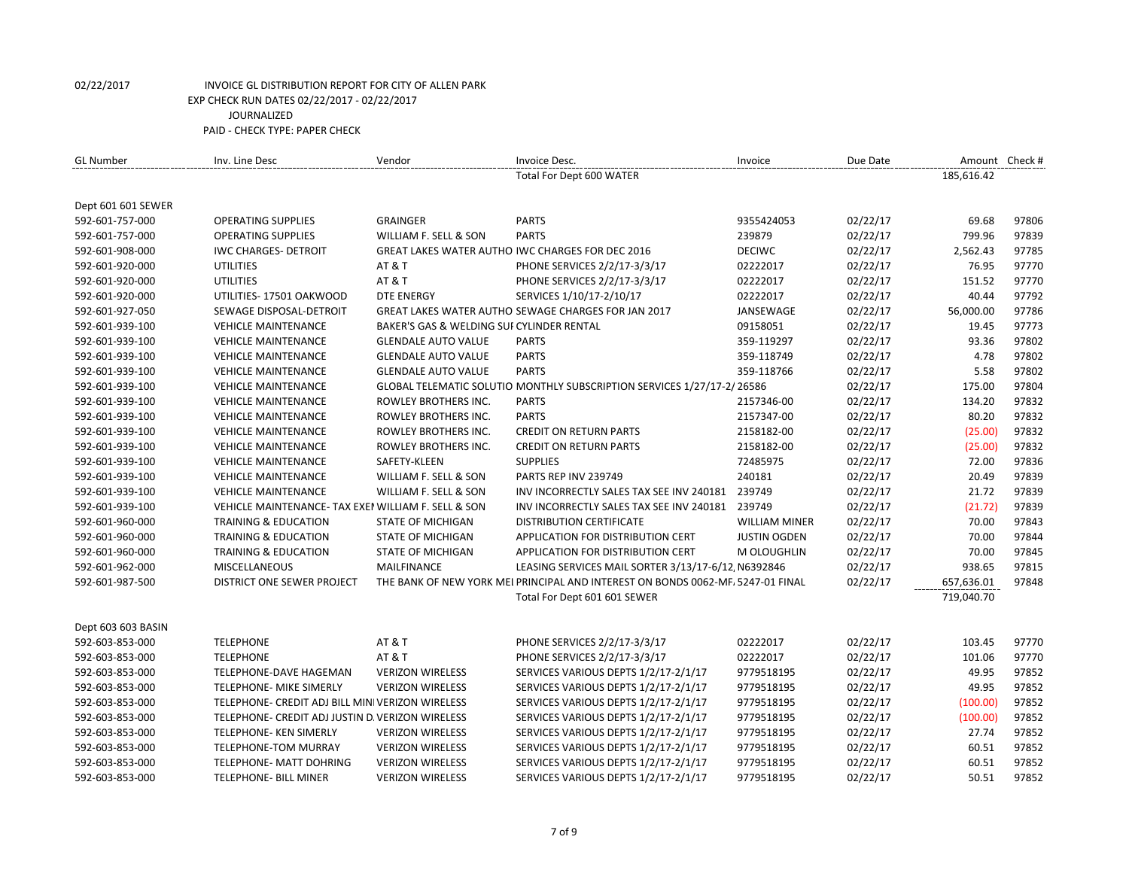| <b>GL Number</b>                      | Inv. Line Desc                                     | Vendor                                    | Invoice Desc.                                                                   | Invoice              | Due Date | Amount Check # |       |
|---------------------------------------|----------------------------------------------------|-------------------------------------------|---------------------------------------------------------------------------------|----------------------|----------|----------------|-------|
|                                       |                                                    |                                           | Total For Dept 600 WATER                                                        |                      |          | 185,616.42     |       |
|                                       |                                                    |                                           |                                                                                 |                      |          |                |       |
| Dept 601 601 SEWER<br>592-601-757-000 | <b>OPERATING SUPPLIES</b>                          | <b>GRAINGER</b>                           | <b>PARTS</b>                                                                    | 9355424053           | 02/22/17 | 69.68          | 97806 |
| 592-601-757-000                       | <b>OPERATING SUPPLIES</b>                          | WILLIAM F. SELL & SON                     | <b>PARTS</b>                                                                    | 239879               | 02/22/17 | 799.96         | 97839 |
| 592-601-908-000                       | <b>IWC CHARGES- DETROIT</b>                        |                                           | GREAT LAKES WATER AUTHO IWC CHARGES FOR DEC 2016                                | <b>DECIWC</b>        | 02/22/17 | 2,562.43       | 97785 |
| 592-601-920-000                       | <b>UTILITIES</b>                                   | <b>AT &amp; T</b>                         | PHONE SERVICES 2/2/17-3/3/17                                                    | 02222017             | 02/22/17 | 76.95          | 97770 |
| 592-601-920-000                       | <b>UTILITIES</b>                                   | AT&T                                      | PHONE SERVICES 2/2/17-3/3/17                                                    | 02222017             | 02/22/17 | 151.52         | 97770 |
| 592-601-920-000                       | UTILITIES-17501 OAKWOOD                            | <b>DTE ENERGY</b>                         | SERVICES 1/10/17-2/10/17                                                        | 02222017             | 02/22/17 | 40.44          | 97792 |
| 592-601-927-050                       | SEWAGE DISPOSAL-DETROIT                            |                                           | GREAT LAKES WATER AUTHO SEWAGE CHARGES FOR JAN 2017                             | JANSEWAGE            | 02/22/17 | 56,000.00      | 97786 |
| 592-601-939-100                       | <b>VEHICLE MAINTENANCE</b>                         | BAKER'S GAS & WELDING SUI CYLINDER RENTAL |                                                                                 | 09158051             | 02/22/17 | 19.45          | 97773 |
|                                       |                                                    |                                           | <b>PARTS</b>                                                                    | 359-119297           | 02/22/17 | 93.36          | 97802 |
| 592-601-939-100                       | <b>VEHICLE MAINTENANCE</b>                         | <b>GLENDALE AUTO VALUE</b>                | <b>PARTS</b>                                                                    |                      | 02/22/17 | 4.78           | 97802 |
| 592-601-939-100                       | <b>VEHICLE MAINTENANCE</b>                         | <b>GLENDALE AUTO VALUE</b>                |                                                                                 | 359-118749           |          |                |       |
| 592-601-939-100                       | <b>VEHICLE MAINTENANCE</b>                         | <b>GLENDALE AUTO VALUE</b>                | <b>PARTS</b>                                                                    | 359-118766           | 02/22/17 | 5.58           | 97802 |
| 592-601-939-100                       | <b>VEHICLE MAINTENANCE</b>                         |                                           | GLOBAL TELEMATIC SOLUTIO MONTHLY SUBSCRIPTION SERVICES 1/27/17-2/26586          |                      | 02/22/17 | 175.00         | 97804 |
| 592-601-939-100                       | <b>VEHICLE MAINTENANCE</b>                         | ROWLEY BROTHERS INC.                      | <b>PARTS</b>                                                                    | 2157346-00           | 02/22/17 | 134.20         | 97832 |
| 592-601-939-100                       | <b>VEHICLE MAINTENANCE</b>                         | ROWLEY BROTHERS INC.                      | <b>PARTS</b>                                                                    | 2157347-00           | 02/22/17 | 80.20          | 97832 |
| 592-601-939-100                       | <b>VEHICLE MAINTENANCE</b>                         | ROWLEY BROTHERS INC.                      | <b>CREDIT ON RETURN PARTS</b>                                                   | 2158182-00           | 02/22/17 | (25.00)        | 97832 |
| 592-601-939-100                       | <b>VEHICLE MAINTENANCE</b>                         | ROWLEY BROTHERS INC.                      | <b>CREDIT ON RETURN PARTS</b>                                                   | 2158182-00           | 02/22/17 | (25.00)        | 97832 |
| 592-601-939-100                       | <b>VEHICLE MAINTENANCE</b>                         | SAFETY-KLEEN                              | <b>SUPPLIES</b>                                                                 | 72485975             | 02/22/17 | 72.00          | 97836 |
| 592-601-939-100                       | <b>VEHICLE MAINTENANCE</b>                         | WILLIAM F. SELL & SON                     | PARTS REP INV 239749                                                            | 240181               | 02/22/17 | 20.49          | 97839 |
| 592-601-939-100                       | <b>VEHICLE MAINTENANCE</b>                         | WILLIAM F. SELL & SON                     | INV INCORRECTLY SALES TAX SEE INV 240181                                        | 239749               | 02/22/17 | 21.72          | 97839 |
| 592-601-939-100                       | VEHICLE MAINTENANCE-TAX EXEN WILLIAM F. SELL & SON |                                           | INV INCORRECTLY SALES TAX SEE INV 240181                                        | 239749               | 02/22/17 | (21.72)        | 97839 |
| 592-601-960-000                       | <b>TRAINING &amp; EDUCATION</b>                    | <b>STATE OF MICHIGAN</b>                  | DISTRIBUTION CERTIFICATE                                                        | <b>WILLIAM MINER</b> | 02/22/17 | 70.00          | 97843 |
| 592-601-960-000                       | TRAINING & EDUCATION                               | <b>STATE OF MICHIGAN</b>                  | APPLICATION FOR DISTRIBUTION CERT                                               | <b>JUSTIN OGDEN</b>  | 02/22/17 | 70.00          | 97844 |
| 592-601-960-000                       | <b>TRAINING &amp; EDUCATION</b>                    | <b>STATE OF MICHIGAN</b>                  | APPLICATION FOR DISTRIBUTION CERT                                               | M OLOUGHLIN          | 02/22/17 | 70.00          | 97845 |
| 592-601-962-000                       | <b>MISCELLANEOUS</b>                               | MAILFINANCE                               | LEASING SERVICES MAIL SORTER 3/13/17-6/12, N6392846                             |                      | 02/22/17 | 938.65         | 97815 |
| 592-601-987-500                       | DISTRICT ONE SEWER PROJECT                         |                                           | THE BANK OF NEW YORK MEI PRINCIPAL AND INTEREST ON BONDS 0062-MF, 5247-01 FINAL |                      | 02/22/17 | 657,636.01     | 97848 |
|                                       |                                                    |                                           | Total For Dept 601 601 SEWER                                                    |                      |          | 719,040.70     |       |
| Dept 603 603 BASIN                    |                                                    |                                           |                                                                                 |                      |          |                |       |
| 592-603-853-000                       | <b>TELEPHONE</b>                                   | <b>AT &amp; T</b>                         | PHONE SERVICES 2/2/17-3/3/17                                                    | 02222017             | 02/22/17 | 103.45         | 97770 |
| 592-603-853-000                       | <b>TELEPHONE</b>                                   | <b>AT &amp; T</b>                         | PHONE SERVICES 2/2/17-3/3/17                                                    | 02222017             | 02/22/17 | 101.06         | 97770 |
| 592-603-853-000                       | TELEPHONE-DAVE HAGEMAN                             | <b>VERIZON WIRELESS</b>                   | SERVICES VARIOUS DEPTS 1/2/17-2/1/17                                            | 9779518195           | 02/22/17 | 49.95          | 97852 |
| 592-603-853-000                       | TELEPHONE- MIKE SIMERLY                            | <b>VERIZON WIRELESS</b>                   | SERVICES VARIOUS DEPTS 1/2/17-2/1/17                                            | 9779518195           | 02/22/17 | 49.95          | 97852 |
| 592-603-853-000                       | TELEPHONE- CREDIT ADJ BILL MINI VERIZON WIRELESS   |                                           | SERVICES VARIOUS DEPTS 1/2/17-2/1/17                                            | 9779518195           | 02/22/17 | (100.00)       | 97852 |
| 592-603-853-000                       | TELEPHONE- CREDIT ADJ JUSTIN D. VERIZON WIRELESS   |                                           | SERVICES VARIOUS DEPTS 1/2/17-2/1/17                                            | 9779518195           | 02/22/17 | (100.00)       | 97852 |
| 592-603-853-000                       | TELEPHONE- KEN SIMERLY                             | <b>VERIZON WIRELESS</b>                   | SERVICES VARIOUS DEPTS 1/2/17-2/1/17                                            | 9779518195           | 02/22/17 | 27.74          | 97852 |
| 592-603-853-000                       | TELEPHONE-TOM MURRAY                               | <b>VERIZON WIRELESS</b>                   | SERVICES VARIOUS DEPTS 1/2/17-2/1/17                                            | 9779518195           | 02/22/17 | 60.51          | 97852 |
| 592-603-853-000                       | <b>TELEPHONE- MATT DOHRING</b>                     | <b>VERIZON WIRELESS</b>                   | SERVICES VARIOUS DEPTS 1/2/17-2/1/17                                            | 9779518195           | 02/22/17 | 60.51          | 97852 |
| 592-603-853-000                       | TELEPHONE- BILL MINER                              | <b>VERIZON WIRELESS</b>                   | SERVICES VARIOUS DEPTS 1/2/17-2/1/17                                            | 9779518195           | 02/22/17 | 50.51          | 97852 |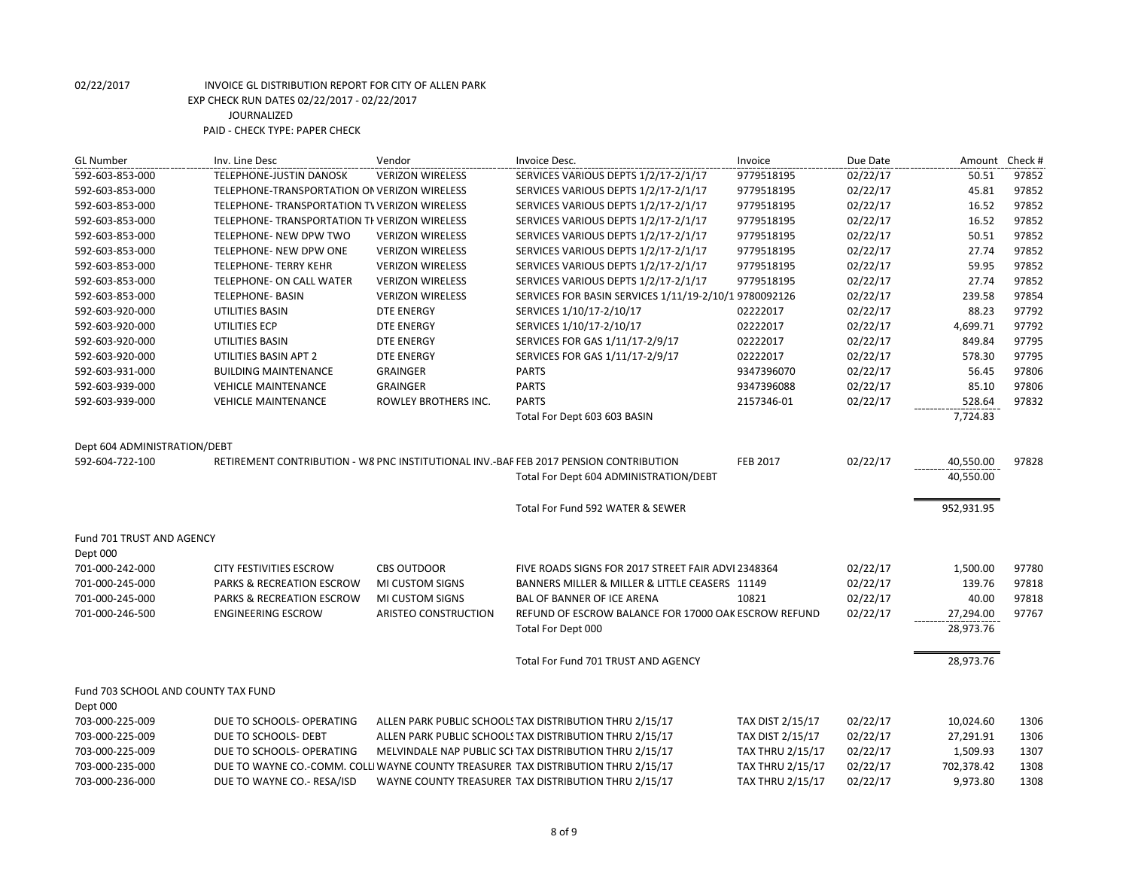| <b>GL Number</b>                    | Inv. Line Desc                                | Vendor                  | Invoice Desc.                                                                         | Invoice                 | Due Date | Amount Check # |       |
|-------------------------------------|-----------------------------------------------|-------------------------|---------------------------------------------------------------------------------------|-------------------------|----------|----------------|-------|
| 592-603-853-000                     | TELEPHONE-JUSTIN DANOSK                       | <b>VERIZON WIRELESS</b> | SERVICES VARIOUS DEPTS 1/2/17-2/1/17                                                  | 9779518195              | 02/22/17 | 50.51          | 97852 |
| 592-603-853-000                     | TELEPHONE-TRANSPORTATION ON VERIZON WIRELESS  |                         | SERVICES VARIOUS DEPTS 1/2/17-2/1/17                                                  | 9779518195              | 02/22/17 | 45.81          | 97852 |
| 592-603-853-000                     | TELEPHONE- TRANSPORTATION TV VERIZON WIRELESS |                         | SERVICES VARIOUS DEPTS 1/2/17-2/1/17                                                  | 9779518195              | 02/22/17 | 16.52          | 97852 |
| 592-603-853-000                     | TELEPHONE- TRANSPORTATION TI VERIZON WIRELESS |                         | SERVICES VARIOUS DEPTS 1/2/17-2/1/17                                                  | 9779518195              | 02/22/17 | 16.52          | 97852 |
| 592-603-853-000                     | TELEPHONE- NEW DPW TWO                        | <b>VERIZON WIRELESS</b> | SERVICES VARIOUS DEPTS 1/2/17-2/1/17                                                  | 9779518195              | 02/22/17 | 50.51          | 97852 |
| 592-603-853-000                     | TELEPHONE- NEW DPW ONE                        | <b>VERIZON WIRELESS</b> | SERVICES VARIOUS DEPTS 1/2/17-2/1/17                                                  | 9779518195              | 02/22/17 | 27.74          | 97852 |
| 592-603-853-000                     | <b>TELEPHONE- TERRY KEHR</b>                  | <b>VERIZON WIRELESS</b> | SERVICES VARIOUS DEPTS 1/2/17-2/1/17                                                  | 9779518195              | 02/22/17 | 59.95          | 97852 |
| 592-603-853-000                     | <b>TELEPHONE- ON CALL WATER</b>               | <b>VERIZON WIRELESS</b> | SERVICES VARIOUS DEPTS 1/2/17-2/1/17                                                  | 9779518195              | 02/22/17 | 27.74          | 97852 |
| 592-603-853-000                     | <b>TELEPHONE- BASIN</b>                       | <b>VERIZON WIRELESS</b> | SERVICES FOR BASIN SERVICES 1/11/19-2/10/1 9780092126                                 |                         | 02/22/17 | 239.58         | 97854 |
| 592-603-920-000                     | UTILITIES BASIN                               | <b>DTE ENERGY</b>       | SERVICES 1/10/17-2/10/17                                                              | 02222017                | 02/22/17 | 88.23          | 97792 |
| 592-603-920-000                     | UTILITIES ECP                                 | <b>DTE ENERGY</b>       | SERVICES 1/10/17-2/10/17                                                              | 02222017                | 02/22/17 | 4,699.71       | 97792 |
| 592-603-920-000                     | UTILITIES BASIN                               | <b>DTE ENERGY</b>       | SERVICES FOR GAS 1/11/17-2/9/17                                                       | 02222017                | 02/22/17 | 849.84         | 97795 |
| 592-603-920-000                     | UTILITIES BASIN APT 2                         | <b>DTE ENERGY</b>       | SERVICES FOR GAS 1/11/17-2/9/17                                                       | 02222017                | 02/22/17 | 578.30         | 97795 |
| 592-603-931-000                     | <b>BUILDING MAINTENANCE</b>                   | <b>GRAINGER</b>         | <b>PARTS</b>                                                                          | 9347396070              | 02/22/17 | 56.45          | 97806 |
| 592-603-939-000                     | <b>VEHICLE MAINTENANCE</b>                    | <b>GRAINGER</b>         | <b>PARTS</b>                                                                          | 9347396088              | 02/22/17 | 85.10          | 97806 |
| 592-603-939-000                     | <b>VEHICLE MAINTENANCE</b>                    | ROWLEY BROTHERS INC.    | <b>PARTS</b>                                                                          | 2157346-01              | 02/22/17 | 528.64         | 97832 |
|                                     |                                               |                         | Total For Dept 603 603 BASIN                                                          |                         |          | 7,724.83       |       |
|                                     |                                               |                         |                                                                                       |                         |          |                |       |
| Dept 604 ADMINISTRATION/DEBT        |                                               |                         |                                                                                       |                         |          |                |       |
| 592-604-722-100                     |                                               |                         | RETIREMENT CONTRIBUTION - W8 PNC INSTITUTIONAL INV.-BAF FEB 2017 PENSION CONTRIBUTION | <b>FEB 2017</b>         | 02/22/17 | 40,550.00      | 97828 |
|                                     |                                               |                         | Total For Dept 604 ADMINISTRATION/DEBT                                                |                         |          | 40,550.00      |       |
|                                     |                                               |                         | Total For Fund 592 WATER & SEWER                                                      |                         |          | 952,931.95     |       |
| Fund 701 TRUST AND AGENCY           |                                               |                         |                                                                                       |                         |          |                |       |
| Dept 000                            |                                               |                         |                                                                                       |                         |          |                |       |
| 701-000-242-000                     | <b>CITY FESTIVITIES ESCROW</b>                | <b>CBS OUTDOOR</b>      | FIVE ROADS SIGNS FOR 2017 STREET FAIR ADVI 2348364                                    |                         | 02/22/17 | 1,500.00       | 97780 |
| 701-000-245-000                     | <b>PARKS &amp; RECREATION ESCROW</b>          | MI CUSTOM SIGNS         | BANNERS MILLER & MILLER & LITTLE CEASERS 11149                                        |                         | 02/22/17 | 139.76         | 97818 |
| 701-000-245-000                     | PARKS & RECREATION ESCROW                     | MI CUSTOM SIGNS         | <b>BAL OF BANNER OF ICE ARENA</b>                                                     | 10821                   | 02/22/17 | 40.00          | 97818 |
| 701-000-246-500                     | <b>ENGINEERING ESCROW</b>                     | ARISTEO CONSTRUCTION    | REFUND OF ESCROW BALANCE FOR 17000 OAK ESCROW REFUND                                  |                         | 02/22/17 | 27,294.00      | 97767 |
|                                     |                                               |                         | Total For Dept 000                                                                    |                         |          | 28,973.76      |       |
|                                     |                                               |                         |                                                                                       |                         |          |                |       |
|                                     |                                               |                         | Total For Fund 701 TRUST AND AGENCY                                                   |                         |          | 28,973.76      |       |
| Fund 703 SCHOOL AND COUNTY TAX FUND |                                               |                         |                                                                                       |                         |          |                |       |
| Dept 000                            |                                               |                         |                                                                                       |                         |          |                |       |
| 703-000-225-009                     | DUE TO SCHOOLS- OPERATING                     |                         | ALLEN PARK PUBLIC SCHOOLS TAX DISTRIBUTION THRU 2/15/17                               | TAX DIST 2/15/17        | 02/22/17 | 10,024.60      | 1306  |
| 703-000-225-009                     | DUE TO SCHOOLS- DEBT                          |                         | ALLEN PARK PUBLIC SCHOOLS TAX DISTRIBUTION THRU 2/15/17                               | TAX DIST 2/15/17        | 02/22/17 | 27,291.91      | 1306  |
| 703-000-225-009                     | DUE TO SCHOOLS- OPERATING                     |                         | MELVINDALE NAP PUBLIC SCI TAX DISTRIBUTION THRU 2/15/17                               | <b>TAX THRU 2/15/17</b> | 02/22/17 | 1,509.93       | 1307  |
| 703-000-235-000                     |                                               |                         | DUE TO WAYNE CO.-COMM. COLLI WAYNE COUNTY TREASURER TAX DISTRIBUTION THRU 2/15/17     | <b>TAX THRU 2/15/17</b> | 02/22/17 | 702,378.42     | 1308  |
| 703-000-236-000                     | DUE TO WAYNE CO.- RESA/ISD                    |                         | WAYNE COUNTY TREASURER TAX DISTRIBUTION THRU 2/15/17                                  | <b>TAX THRU 2/15/17</b> | 02/22/17 | 9,973.80       | 1308  |